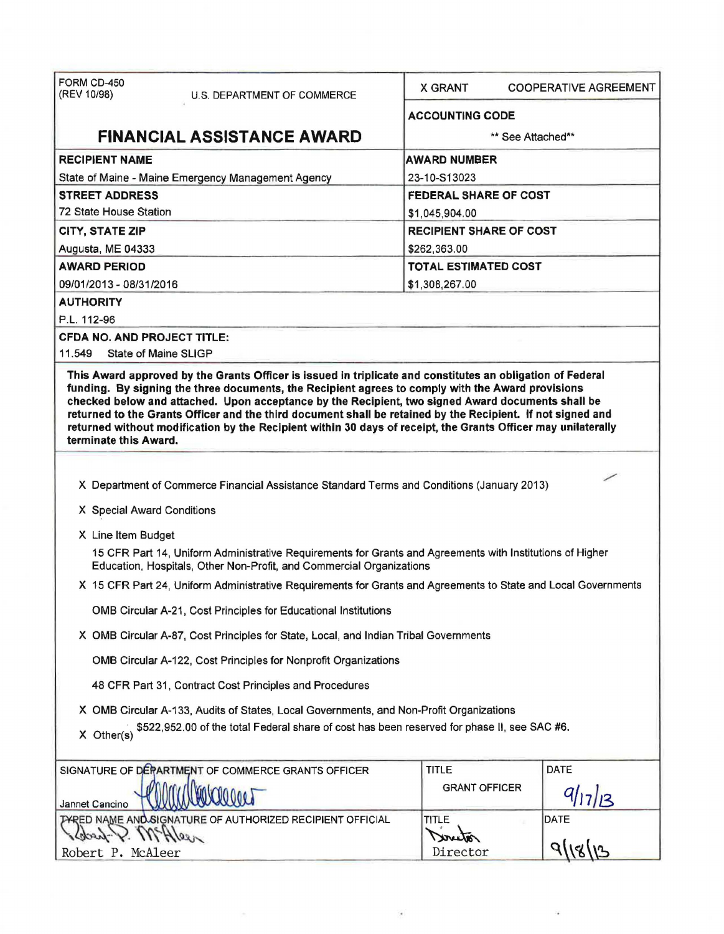| FORM CD-450<br>(REV 10/98)<br>U.S. DEPARTMENT OF COMMERCE                                                                                                                                                                                                                                                                                                                                                                                                       | X GRANT<br><b>COOPERATIVE AGREEMENT</b><br><b>ACCOUNTING CODE</b> |  |  |  |  |
|-----------------------------------------------------------------------------------------------------------------------------------------------------------------------------------------------------------------------------------------------------------------------------------------------------------------------------------------------------------------------------------------------------------------------------------------------------------------|-------------------------------------------------------------------|--|--|--|--|
|                                                                                                                                                                                                                                                                                                                                                                                                                                                                 |                                                                   |  |  |  |  |
| <b>FINANCIAL ASSISTANCE AWARD</b><br>** See Attached**                                                                                                                                                                                                                                                                                                                                                                                                          |                                                                   |  |  |  |  |
| <b>RECIPIENT NAME</b>                                                                                                                                                                                                                                                                                                                                                                                                                                           | <b>AWARD NUMBER</b>                                               |  |  |  |  |
| State of Maine - Maine Emergency Management Agency                                                                                                                                                                                                                                                                                                                                                                                                              | 23-10-S13023                                                      |  |  |  |  |
| <b>STREET ADDRESS</b>                                                                                                                                                                                                                                                                                                                                                                                                                                           | <b>FEDERAL SHARE OF COST</b>                                      |  |  |  |  |
| 72 State House Station<br>\$1,045,904.00                                                                                                                                                                                                                                                                                                                                                                                                                        |                                                                   |  |  |  |  |
| <b>RECIPIENT SHARE OF COST</b><br><b>CITY, STATE ZIP</b>                                                                                                                                                                                                                                                                                                                                                                                                        |                                                                   |  |  |  |  |
| \$262,363.00<br>Augusta, ME 04333                                                                                                                                                                                                                                                                                                                                                                                                                               |                                                                   |  |  |  |  |
| <b>AWARD PERIOD</b>                                                                                                                                                                                                                                                                                                                                                                                                                                             | <b>TOTAL ESTIMATED COST</b>                                       |  |  |  |  |
| 09/01/2013 - 08/31/2016                                                                                                                                                                                                                                                                                                                                                                                                                                         | \$1,308,267.00                                                    |  |  |  |  |
| <b>AUTHORITY</b>                                                                                                                                                                                                                                                                                                                                                                                                                                                |                                                                   |  |  |  |  |
| P.L. 112-96                                                                                                                                                                                                                                                                                                                                                                                                                                                     |                                                                   |  |  |  |  |
| <b>CFDA NO. AND PROJECT TITLE:</b><br>11.549<br>State of Maine SLIGP                                                                                                                                                                                                                                                                                                                                                                                            |                                                                   |  |  |  |  |
| funding. By signing the three documents, the Recipient agrees to comply with the Award provisions<br>checked below and attached. Upon acceptance by the Recipient, two signed Award documents shall be<br>returned to the Grants Officer and the third document shall be retained by the Recipient. If not signed and<br>returned without modification by the Recipient within 30 days of receipt, the Grants Officer may unilaterally<br>terminate this Award. |                                                                   |  |  |  |  |
|                                                                                                                                                                                                                                                                                                                                                                                                                                                                 |                                                                   |  |  |  |  |
| X Department of Commerce Financial Assistance Standard Terms and Conditions (January 2013)                                                                                                                                                                                                                                                                                                                                                                      |                                                                   |  |  |  |  |
| X Special Award Conditions                                                                                                                                                                                                                                                                                                                                                                                                                                      |                                                                   |  |  |  |  |
| X Line Item Budget                                                                                                                                                                                                                                                                                                                                                                                                                                              |                                                                   |  |  |  |  |
| 15 CFR Part 14, Uniform Administrative Requirements for Grants and Agreements with Institutions of Higher<br>Education, Hospitals, Other Non-Profit, and Commercial Organizations                                                                                                                                                                                                                                                                               |                                                                   |  |  |  |  |
| X 15 CFR Part 24, Uniform Administrative Requirements for Grants and Agreements to State and Local Governments                                                                                                                                                                                                                                                                                                                                                  |                                                                   |  |  |  |  |
| OMB Circular A-21, Cost Principles for Educational Institutions                                                                                                                                                                                                                                                                                                                                                                                                 |                                                                   |  |  |  |  |
| X OMB Circular A-87, Cost Principles for State, Local, and Indian Tribal Governments                                                                                                                                                                                                                                                                                                                                                                            |                                                                   |  |  |  |  |
| OMB Circular A-122, Cost Principles for Nonprofit Organizations                                                                                                                                                                                                                                                                                                                                                                                                 |                                                                   |  |  |  |  |
| 48 CFR Part 31, Contract Cost Principles and Procedures                                                                                                                                                                                                                                                                                                                                                                                                         |                                                                   |  |  |  |  |
| X OMB Circular A-133, Audits of States, Local Governments, and Non-Profit Organizations                                                                                                                                                                                                                                                                                                                                                                         |                                                                   |  |  |  |  |
| \$522,952.00 of the total Federal share of cost has been reserved for phase II, see SAC #6.<br>X Other(s)                                                                                                                                                                                                                                                                                                                                                       |                                                                   |  |  |  |  |
| SIGNATURE OF DERARTMENT OF COMMERCE GRANTS OFFICER                                                                                                                                                                                                                                                                                                                                                                                                              | DATE<br><b>TITLE</b>                                              |  |  |  |  |
| Jannet Cancino                                                                                                                                                                                                                                                                                                                                                                                                                                                  | <b>GRANT OFFICER</b><br>9/17/13                                   |  |  |  |  |
| TYRED NAME AND SIGNATURE OF AUTHORIZED RECIPIENT OFFICIAL<br>$2.905$ Hleen                                                                                                                                                                                                                                                                                                                                                                                      | <b>TITLE</b><br><b>DATE</b>                                       |  |  |  |  |
| Robert P. McAleer                                                                                                                                                                                                                                                                                                                                                                                                                                               | Wreelor<br>Director                                               |  |  |  |  |
|                                                                                                                                                                                                                                                                                                                                                                                                                                                                 |                                                                   |  |  |  |  |